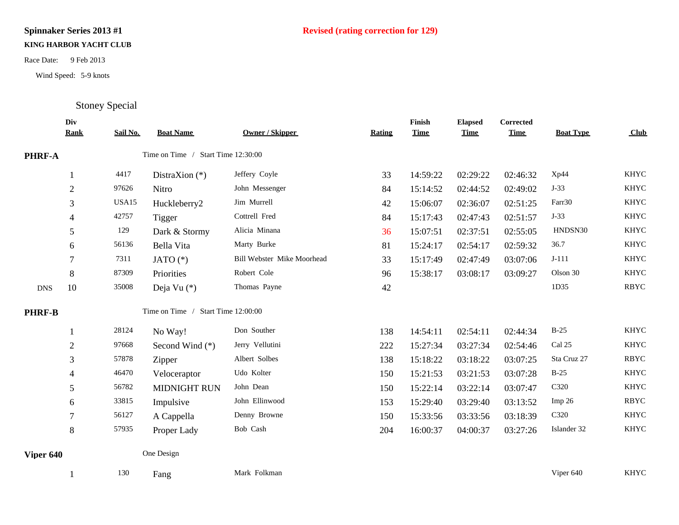## **KING HARBOR YACHT CLUB**

Race Date: 9 Feb 2013<br>Wind Speed: 5-9 knots<br>Stoney Special

Wind Speed: 5-9 knots

|               | Div<br><b>Rank</b> | Sail No. | <b>Boat Name</b>                   | <b>Owner / Skipper</b>     | <b>Rating</b> | Finish<br><b>Time</b> | <b>Elapsed</b><br><b>Time</b> | Corrected<br><b>Time</b> | <b>Boat Type</b>  | Club        |
|---------------|--------------------|----------|------------------------------------|----------------------------|---------------|-----------------------|-------------------------------|--------------------------|-------------------|-------------|
| PHRF-A        |                    |          | Time on Time / Start Time 12:30:00 |                            |               |                       |                               |                          |                   |             |
|               |                    | 4417     | DistraXion $(*)$                   | Jeffery Coyle              | 33            | 14:59:22              | 02:29:22                      | 02:46:32                 | Xp44              | <b>KHYC</b> |
|               | $\mathfrak{2}$     | 97626    | Nitro                              | John Messenger             | 84            | 15:14:52              | 02:44:52                      | 02:49:02                 | $J-33$            | <b>KHYC</b> |
|               | 3                  | USA15    | Huckleberry2                       | Jim Murrell                | 42            | 15:06:07              | 02:36:07                      | 02:51:25                 | Farr30            | <b>KHYC</b> |
|               | 4                  | 42757    | <b>Tigger</b>                      | Cottrell Fred              | 84            | 15:17:43              | 02:47:43                      | 02:51:57                 | $J-33$            | <b>KHYC</b> |
|               | 5                  | 129      | Dark & Stormy                      | Alicia Minana              | 36            | 15:07:51              | 02:37:51                      | 02:55:05                 | HNDSN30           | <b>KHYC</b> |
|               | 6                  | 56136    | Bella Vita                         | Marty Burke                | 81            | 15:24:17              | 02:54:17                      | 02:59:32                 | 36.7              | <b>KHYC</b> |
|               | 7                  | 7311     | JATO $(*)$                         | Bill Webster Mike Moorhead | 33            | 15:17:49              | 02:47:49                      | 03:07:06                 | $J-111$           | <b>KHYC</b> |
|               | 8                  | 87309    | Priorities                         | Robert Cole                | 96            | 15:38:17              | 03:08:17                      | 03:09:27                 | Olson 30          | <b>KHYC</b> |
| <b>DNS</b>    | 10                 | 35008    | Deja Vu (*)                        | Thomas Payne               | 42            |                       |                               |                          | 1D35              | <b>RBYC</b> |
| <b>PHRF-B</b> |                    |          | Time on Time / Start Time 12:00:00 |                            |               |                       |                               |                          |                   |             |
|               |                    | 28124    | No Way!                            | Don Souther                | 138           | 14:54:11              | 02:54:11                      | 02:44:34                 | $B-25$            | <b>KHYC</b> |
|               | $\mathfrak{2}$     | 97668    | Second Wind (*)                    | Jerry Vellutini            | 222           | 15:27:34              | 03:27:34                      | 02:54:46                 | Cal 25            | <b>KHYC</b> |
|               | 3                  | 57878    | Zipper                             | Albert Solbes              | 138           | 15:18:22              | 03:18:22                      | 03:07:25                 | Sta Cruz 27       | <b>RBYC</b> |
|               | 4                  | 46470    | Veloceraptor                       | Udo Kolter                 | 150           | 15:21:53              | 03:21:53                      | 03:07:28                 | $B-25$            | <b>KHYC</b> |
|               | 5                  | 56782    | <b>MIDNIGHT RUN</b>                | John Dean                  | 150           | 15:22:14              | 03:22:14                      | 03:07:47                 | C320              | <b>KHYC</b> |
|               | 6                  | 33815    | Impulsive                          | John Ellinwood             | 153           | 15:29:40              | 03:29:40                      | 03:13:52                 | Imp <sub>26</sub> | <b>RBYC</b> |
|               | $\tau$             | 56127    | A Cappella                         | Denny Browne               | 150           | 15:33:56              | 03:33:56                      | 03:18:39                 | C320              | <b>KHYC</b> |
|               | 8                  | 57935    | Proper Lady                        | Bob Cash                   | 204           | 16:00:37              | 04:00:37                      | 03:27:26                 | Islander 32       | <b>KHYC</b> |
| Viper 640     |                    |          | One Design                         |                            |               |                       |                               |                          |                   |             |
|               |                    | 130      | Fang                               | Mark Folkman               |               |                       |                               |                          | Viper 640         | <b>KHYC</b> |

## **Spinnaker Series 2013 #1 Revised (rating correction for 129)**